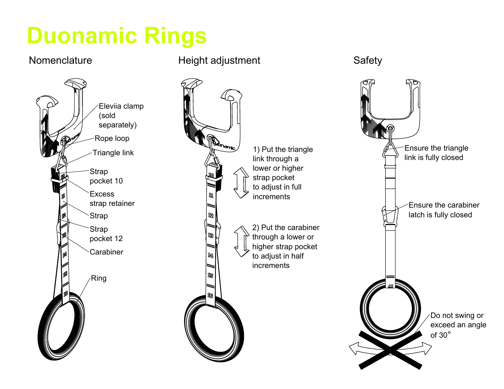# **Duonamic Rings**



#### Nomenclature **Height adjustment** Safety